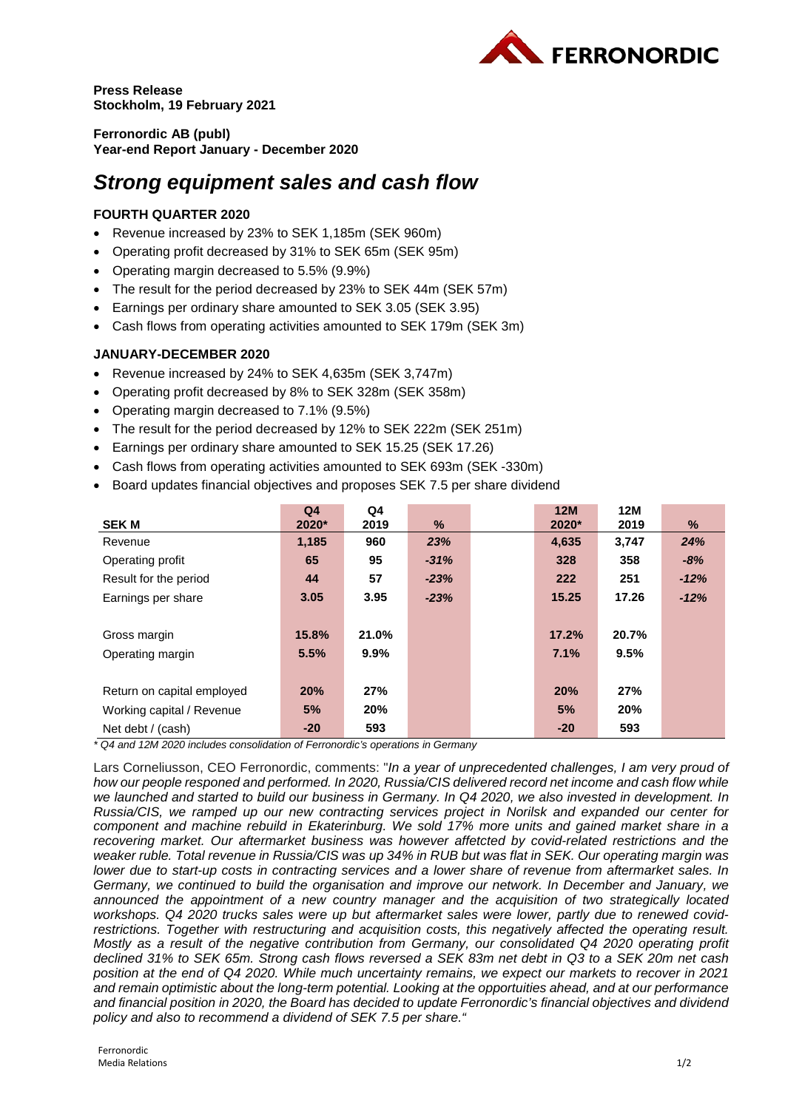

**Press Release Stockholm, 19 February 2021**

**Ferronordic AB (publ) Year-end Report January - December 2020**

# *Strong equipment sales and cash flow*

# **FOURTH QUARTER 2020**

- Revenue increased by 23% to SEK 1,185m (SEK 960m)
- Operating profit decreased by 31% to SEK 65m (SEK 95m)
- Operating margin decreased to 5.5% (9.9%)
- The result for the period decreased by 23% to SEK 44m (SEK 57m)
- Earnings per ordinary share amounted to SEK 3.05 (SEK 3.95)
- Cash flows from operating activities amounted to SEK 179m (SEK 3m)

# **JANUARY-DECEMBER 2020**

- Revenue increased by 24% to SEK 4,635m (SEK 3,747m)
- Operating profit decreased by 8% to SEK 328m (SEK 358m)
- Operating margin decreased to 7.1% (9.5%)
- The result for the period decreased by 12% to SEK 222m (SEK 251m)
- Earnings per ordinary share amounted to SEK 15.25 (SEK 17.26)
- Cash flows from operating activities amounted to SEK 693m (SEK -330m)
- Board updates financial objectives and proposes SEK 7.5 per share dividend

|                            | Q <sub>4</sub> | Q4      |        | 12M   | <b>12M</b> |        |
|----------------------------|----------------|---------|--------|-------|------------|--------|
| <b>SEK M</b>               | $2020*$        | 2019    | %      | 2020* | 2019       | $\%$   |
| Revenue                    | 1,185          | 960     | 23%    | 4,635 | 3,747      | 24%    |
| Operating profit           | 65             | 95      | $-31%$ | 328   | 358        | $-8%$  |
| Result for the period      | 44             | 57      | $-23%$ | 222   | 251        | $-12%$ |
| Earnings per share         | 3.05           | 3.95    | $-23%$ | 15.25 | 17.26      | $-12%$ |
|                            |                |         |        |       |            |        |
| Gross margin               | 15.8%          | 21.0%   |        | 17.2% | 20.7%      |        |
| Operating margin           | 5.5%           | $9.9\%$ |        | 7.1%  | 9.5%       |        |
|                            |                |         |        |       |            |        |
| Return on capital employed | 20%            | 27%     |        | 20%   | 27%        |        |
| Working capital / Revenue  | 5%             | 20%     |        | 5%    | 20%        |        |
| Net debt / (cash)          | $-20$          | 593     |        | $-20$ | 593        |        |

*\* Q4 and 12M 2020 includes consolidation of Ferronordic's operations in Germany*

Lars Corneliusson, CEO Ferronordic, comments: "*In a year of unprecedented challenges, I am very proud of how our people responed and performed. In 2020, Russia/CIS delivered record net income and cash flow while we launched and started to build our business in Germany. In Q4 2020, we also invested in development. In Russia/CIS, we ramped up our new contracting services project in Norilsk and expanded our center for component and machine rebuild in Ekaterinburg. We sold 17% more units and gained market share in a recovering market. Our aftermarket business was however affetcted by covid-related restrictions and the weaker ruble. Total revenue in Russia/CIS was up 34% in RUB but was flat in SEK. Our operating margin was lower due to start-up costs in contracting services and a lower share of revenue from aftermarket sales. In Germany, we continued to build the organisation and improve our network. In December and January, we announced the appointment of a new country manager and the acquisition of two strategically located workshops. Q4 2020 trucks sales were up but aftermarket sales were lower, partly due to renewed covidrestrictions. Together with restructuring and acquisition costs, this negatively affected the operating result. Mostly as a result of the negative contribution from Germany, our consolidated Q4 2020 operating profit declined 31% to SEK 65m. Strong cash flows reversed a SEK 83m net debt in Q3 to a SEK 20m net cash position at the end of Q4 2020. While much uncertainty remains, we expect our markets to recover in 2021 and remain optimistic about the long-term potential. Looking at the opportuities ahead, and at our performance and financial position in 2020, the Board has decided to update Ferronordic's financial objectives and dividend policy and also to recommend a dividend of SEK 7.5 per share."*